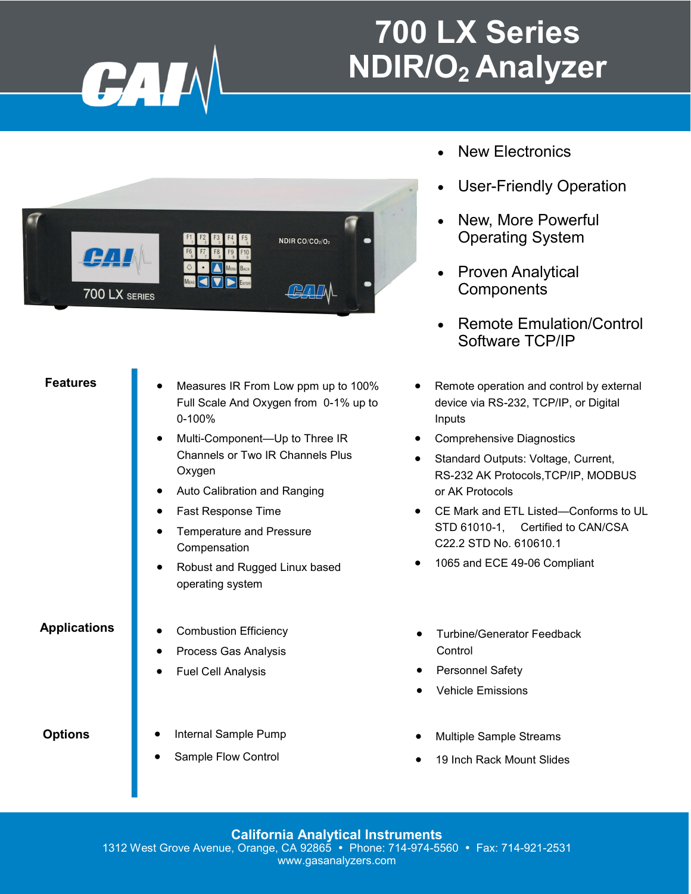

### **700 LX Series NDIR/O2 Analyzer**



#### **Features**

- Measures IR From Low ppm up to 100% Full Scale And Oxygen from 0-1% up to 0-100%
- Multi-Component-Up to Three IR Channels or Two IR Channels Plus **Oxygen**
- Auto Calibration and Ranging
- Fast Response Time
- Temperature and Pressure **Compensation**
- Robust and Rugged Linux based operating system

#### **Applications**

- Combustion Efficiency
- Process Gas Analysis
- Fuel Cell Analysis

#### **Options**

- Internal Sample Pump
- Sample Flow Control
- New Electronics
- User-Friendly Operation
- New, More Powerful Operating System
- Proven Analytical **Components**
- Remote Emulation/Control Software TCP/IP
- Remote operation and control by external device via RS-232, TCP/IP, or Digital Inputs
- Comprehensive Diagnostics
- Standard Outputs: Voltage, Current, RS-232 AK Protocols,TCP/IP, MODBUS or AK Protocols
- CE Mark and ETL Listed—Conforms to UL STD 61010-1, Certified to CAN/CSA C22.2 STD No. 610610.1
- 1065 and ECE 49-06 Compliant
- Turbine/Generator Feedback Control
- Personnel Safety
- Vehicle Emissions
- Multiple Sample Streams
- 19 Inch Rack Mount Slides